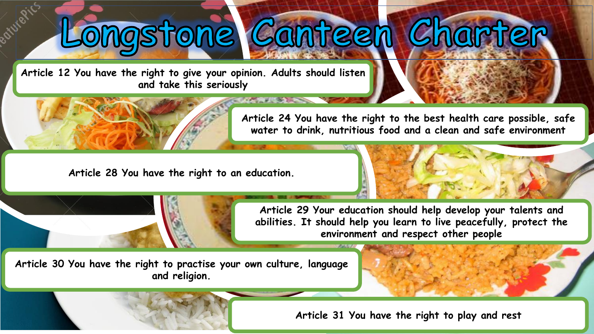# Longstone Canteen Charter

**Article 12 You have the right to give your opinion. Adults should listen and take this seriously**



**Article 24 You have the right to the best health care possible, safe water to drink, nutritious food and a clean and safe environment**

**Article 28 You have the right to an education.** 

**Article 29 Your education should help develop your talents and abilities. It should help you learn to live peacefully, protect the environment and respect other people**

**Article 30 You have the right to practise your own culture, language and religion.** 

**Article 31 You have the right to play and rest**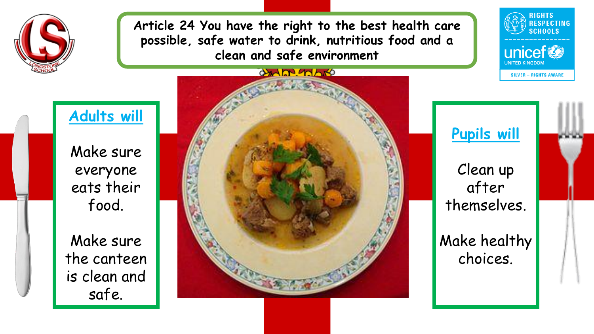

**Article 24 You have the right to the best health care possible, safe water to drink, nutritious food and a clean and safe environment**



### **Adults will**

Make sure everyone eats their food.

Make sure the canteen is clean and safe.





Clean up after themselves.

Make healthy choices.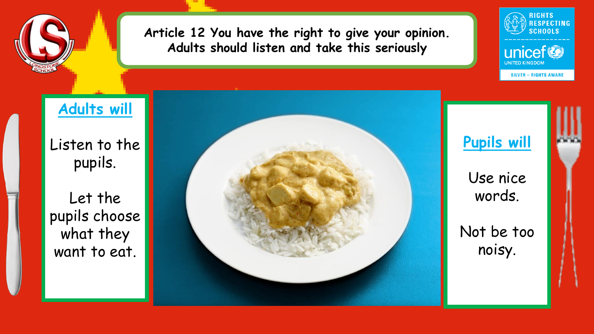

#### **Article 12 You have the right to give your opinion. Adults should listen and take this seriously**

# **Adults will**

Listen to the pupils.

Let the pupils choose what they want to eat.





**RIGHTS RESPECTING SCHOOLS** 

unicef

**SILVER - RIGHTS AWARE**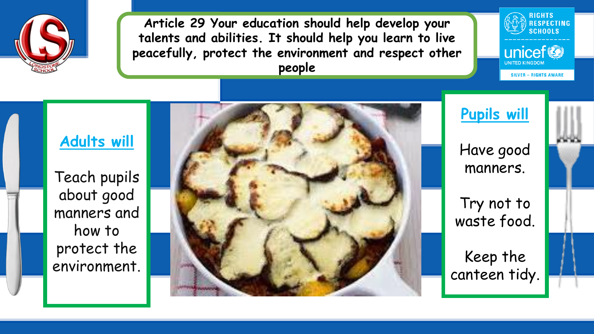

**Article 29 Your education should help develop your talents and abilities. It should help you learn to live peacefully, protect the environment and respect other people**



Teach pupils about good manners and how to protect the environment.



**Pupils will**

**RIGHTS** 

unicef<sup>®</sup>

**SILVER - RIGHTS AWARE** 

RESPECTING<br>SCHOOLS

Have good manners.

Try not to waste food.

Keep the canteen tidy.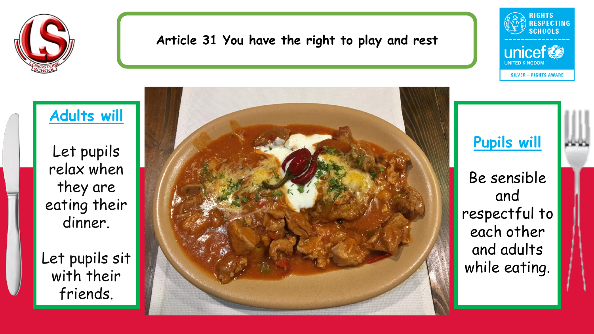

#### **Article 31 You have the right to play and rest**



## **Adults will**

Let pupils relax when they are eating their dinner.

Let pupils sit with their friends.



**Pupils will**

Be sensible and respectful to each other and adults while eating.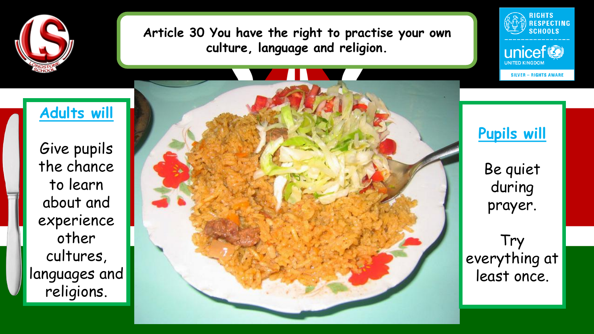

**Article 30 You have the right to practise your own culture, language and religion.** 



unicef<sup>®</sup>

**SILVER - RIGHTS AWARE** 

**JNITED KINGDON** 

Give pupils the chance to learn about and experience other cultures, languages and religions.

**Adults will**



**Pupils will** 

Be quiet during prayer.

Try everything at least once.